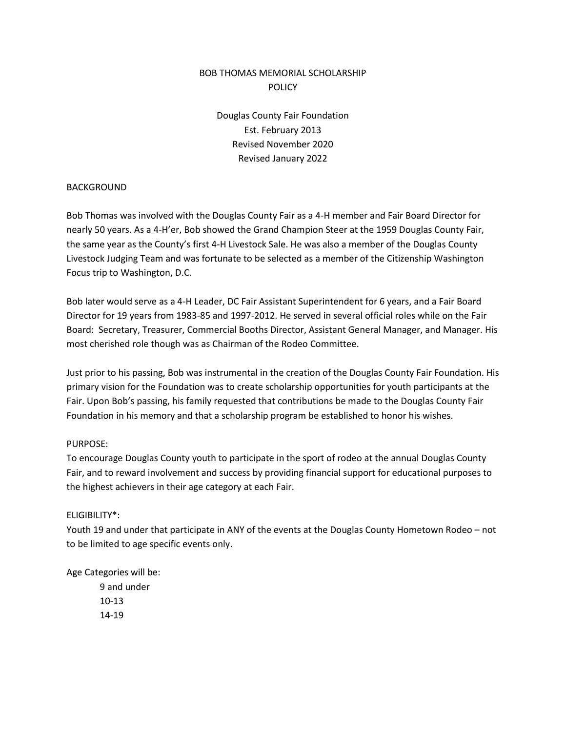# BOB THOMAS MEMORIAL SCHOLARSHIP POLICY

Douglas County Fair Foundation Est. February 2013 Revised November 2020 Revised January 2022

#### BACKGROUND

Bob Thomas was involved with the Douglas County Fair as a 4-H member and Fair Board Director for nearly 50 years. As a 4-H'er, Bob showed the Grand Champion Steer at the 1959 Douglas County Fair, the same year as the County's first 4-H Livestock Sale. He was also a member of the Douglas County Livestock Judging Team and was fortunate to be selected as a member of the Citizenship Washington Focus trip to Washington, D.C.

Bob later would serve as a 4-H Leader, DC Fair Assistant Superintendent for 6 years, and a Fair Board Director for 19 years from 1983-85 and 1997-2012. He served in several official roles while on the Fair Board: Secretary, Treasurer, Commercial Booths Director, Assistant General Manager, and Manager. His most cherished role though was as Chairman of the Rodeo Committee.

Just prior to his passing, Bob was instrumental in the creation of the Douglas County Fair Foundation. His primary vision for the Foundation was to create scholarship opportunities for youth participants at the Fair. Upon Bob's passing, his family requested that contributions be made to the Douglas County Fair Foundation in his memory and that a scholarship program be established to honor his wishes.

#### PURPOSE:

To encourage Douglas County youth to participate in the sport of rodeo at the annual Douglas County Fair, and to reward involvement and success by providing financial support for educational purposes to the highest achievers in their age category at each Fair.

### ELIGIBILITY\*:

Youth 19 and under that participate in ANY of the events at the Douglas County Hometown Rodeo – not to be limited to age specific events only.

Age Categories will be:

9 and under 10-13 14-19